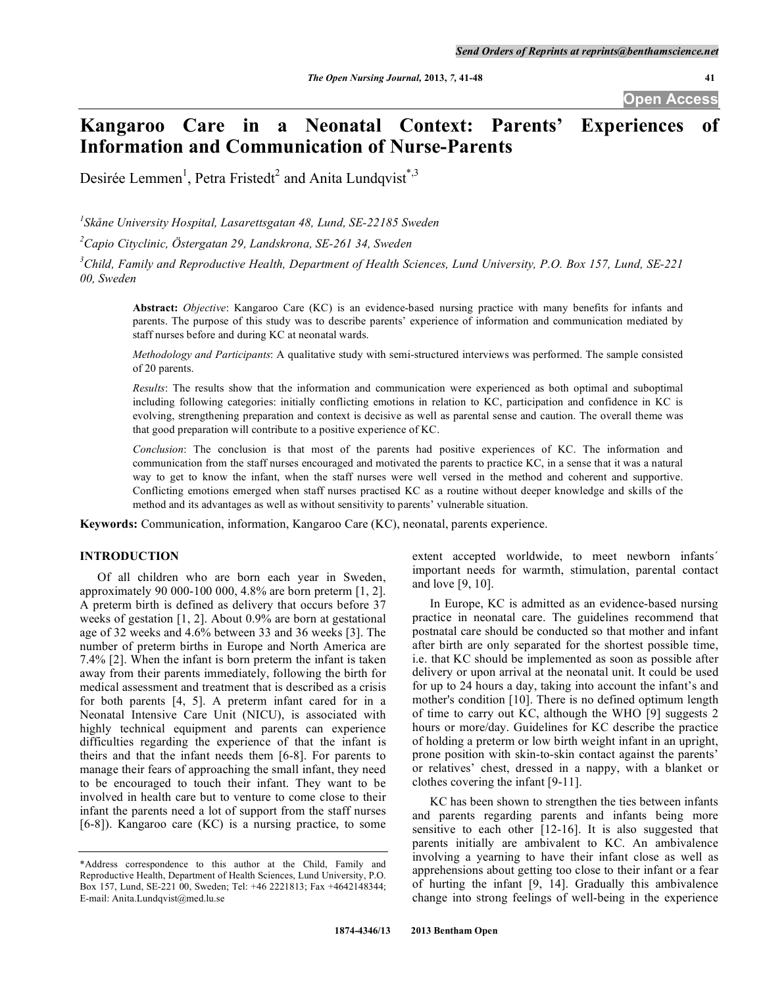**Open Access** 

# **Kangaroo Care in a Neonatal Context: Parents' Experiences of Information and Communication of Nurse-Parents**

Desirée Lemmen<sup>1</sup>, Petra Fristedt<sup>2</sup> and Anita Lundqvist<sup>\*,3</sup>

*1 Skåne University Hospital, Lasarettsgatan 48, Lund, SE-22185 Sweden*

*2 Capio Cityclinic, Östergatan 29, Landskrona, SE-261 34, Sweden* 

*3 Child, Family and Reproductive Health, Department of Health Sciences, Lund University, P.O. Box 157, Lund, SE-221 00, Sweden* 

**Abstract:** *Objective*: Kangaroo Care (KC) is an evidence-based nursing practice with many benefits for infants and parents. The purpose of this study was to describe parents' experience of information and communication mediated by staff nurses before and during KC at neonatal wards.

*Methodology and Participants*: A qualitative study with semi-structured interviews was performed. The sample consisted of 20 parents.

*Results*: The results show that the information and communication were experienced as both optimal and suboptimal including following categories: initially conflicting emotions in relation to KC, participation and confidence in KC is evolving, strengthening preparation and context is decisive as well as parental sense and caution. The overall theme was that good preparation will contribute to a positive experience of KC.

*Conclusion*: The conclusion is that most of the parents had positive experiences of KC. The information and communication from the staff nurses encouraged and motivated the parents to practice KC, in a sense that it was a natural way to get to know the infant, when the staff nurses were well versed in the method and coherent and supportive. Conflicting emotions emerged when staff nurses practised KC as a routine without deeper knowledge and skills of the method and its advantages as well as without sensitivity to parents' vulnerable situation.

**Keywords:** Communication, information, Kangaroo Care (KC), neonatal, parents experience.

# **INTRODUCTION**

 Of all children who are born each year in Sweden, approximately 90 000-100 000, 4.8% are born preterm [1, 2]. A preterm birth is defined as delivery that occurs before 37 weeks of gestation [1, 2]. About 0.9% are born at gestational age of 32 weeks and 4.6% between 33 and 36 weeks [3]. The number of preterm births in Europe and North America are 7.4% [2]. When the infant is born preterm the infant is taken away from their parents immediately, following the birth for medical assessment and treatment that is described as a crisis for both parents [4, 5]. A preterm infant cared for in a Neonatal Intensive Care Unit (NICU), is associated with highly technical equipment and parents can experience difficulties regarding the experience of that the infant is theirs and that the infant needs them [6-8]. For parents to manage their fears of approaching the small infant, they need to be encouraged to touch their infant. They want to be involved in health care but to venture to come close to their infant the parents need a lot of support from the staff nurses [6-8]). Kangaroo care (KC) is a nursing practice, to some

extent accepted worldwide, to meet newborn infants´ important needs for warmth, stimulation, parental contact and love [9, 10].

 In Europe, KC is admitted as an evidence-based nursing practice in neonatal care. The guidelines recommend that postnatal care should be conducted so that mother and infant after birth are only separated for the shortest possible time, i.e. that KC should be implemented as soon as possible after delivery or upon arrival at the neonatal unit. It could be used for up to 24 hours a day, taking into account the infant's and mother's condition [10]. There is no defined optimum length of time to carry out KC, although the WHO [9] suggests 2 hours or more/day. Guidelines for KC describe the practice of holding a preterm or low birth weight infant in an upright, prone position with skin-to-skin contact against the parents' or relatives' chest, dressed in a nappy, with a blanket or clothes covering the infant [9-11].

 KC has been shown to strengthen the ties between infants and parents regarding parents and infants being more sensitive to each other [12-16]. It is also suggested that parents initially are ambivalent to KC. An ambivalence involving a yearning to have their infant close as well as apprehensions about getting too close to their infant or a fear of hurting the infant [9, 14]. Gradually this ambivalence change into strong feelings of well-being in the experience

<sup>\*</sup>Address correspondence to this author at the Child, Family and Reproductive Health, Department of Health Sciences, Lund University, P.O. Box 157, Lund, SE-221 00, Sweden; Tel: +46 2221813; Fax +4642148344; E-mail: Anita.Lundqvist@med.lu.se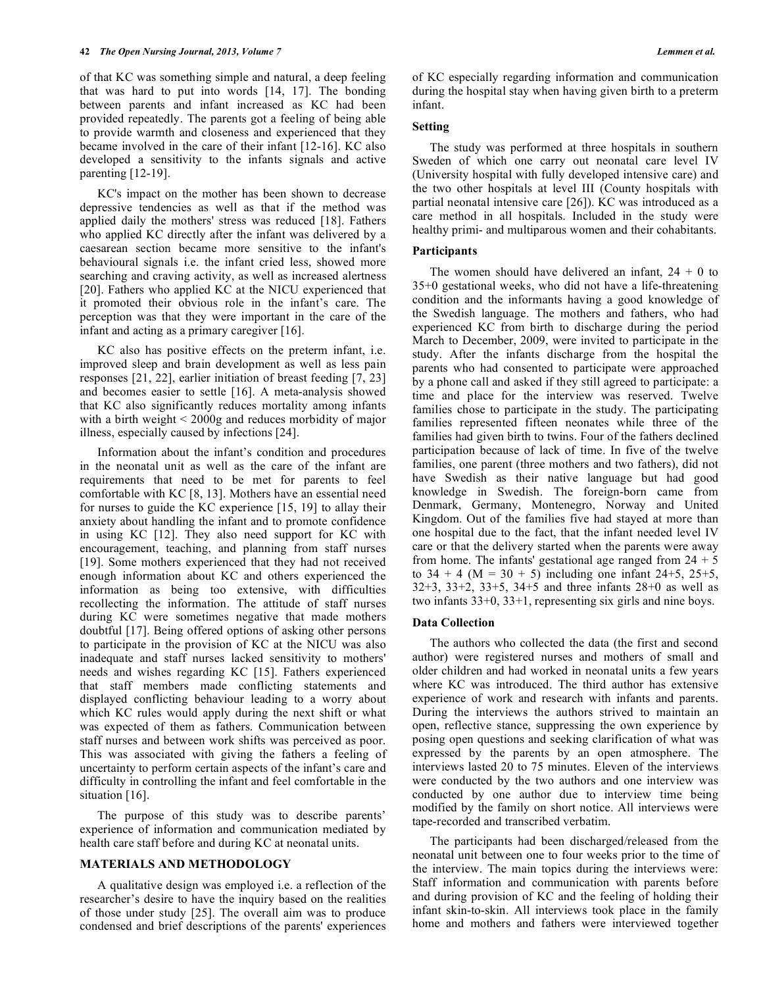of that KC was something simple and natural, a deep feeling that was hard to put into words [14, 17]. The bonding between parents and infant increased as KC had been provided repeatedly. The parents got a feeling of being able to provide warmth and closeness and experienced that they became involved in the care of their infant [12-16]. KC also developed a sensitivity to the infants signals and active parenting [12-19].

 KC's impact on the mother has been shown to decrease depressive tendencies as well as that if the method was applied daily the mothers' stress was reduced [18]. Fathers who applied KC directly after the infant was delivered by a caesarean section became more sensitive to the infant's behavioural signals i.e. the infant cried less, showed more searching and craving activity, as well as increased alertness [20]. Fathers who applied KC at the NICU experienced that it promoted their obvious role in the infant's care. The perception was that they were important in the care of the infant and acting as a primary caregiver [16].

 KC also has positive effects on the preterm infant, i.e. improved sleep and brain development as well as less pain responses [21, 22], earlier initiation of breast feeding [7, 23] and becomes easier to settle [16]. A meta-analysis showed that KC also significantly reduces mortality among infants with a birth weight < 2000g and reduces morbidity of major illness, especially caused by infections [24].

 Information about the infant's condition and procedures in the neonatal unit as well as the care of the infant are requirements that need to be met for parents to feel comfortable with KC [8, 13]. Mothers have an essential need for nurses to guide the KC experience [15, 19] to allay their anxiety about handling the infant and to promote confidence in using KC [12]. They also need support for KC with encouragement, teaching, and planning from staff nurses [19]. Some mothers experienced that they had not received enough information about KC and others experienced the information as being too extensive, with difficulties recollecting the information. The attitude of staff nurses during KC were sometimes negative that made mothers doubtful [17]. Being offered options of asking other persons to participate in the provision of KC at the NICU was also inadequate and staff nurses lacked sensitivity to mothers' needs and wishes regarding KC [15]. Fathers experienced that staff members made conflicting statements and displayed conflicting behaviour leading to a worry about which KC rules would apply during the next shift or what was expected of them as fathers. Communication between staff nurses and between work shifts was perceived as poor. This was associated with giving the fathers a feeling of uncertainty to perform certain aspects of the infant's care and difficulty in controlling the infant and feel comfortable in the situation [16].

 The purpose of this study was to describe parents' experience of information and communication mediated by health care staff before and during KC at neonatal units.

## **MATERIALS AND METHODOLOGY**

 A qualitative design was employed i.e. a reflection of the researcher's desire to have the inquiry based on the realities of those under study [25]. The overall aim was to produce condensed and brief descriptions of the parents' experiences of KC especially regarding information and communication during the hospital stay when having given birth to a preterm infant.

#### **Setting**

 The study was performed at three hospitals in southern Sweden of which one carry out neonatal care level IV (University hospital with fully developed intensive care) and the two other hospitals at level III (County hospitals with partial neonatal intensive care [26]). KC was introduced as a care method in all hospitals. Included in the study were healthy primi- and multiparous women and their cohabitants.

#### **Participants**

The women should have delivered an infant,  $24 + 0$  to 35+0 gestational weeks, who did not have a life-threatening condition and the informants having a good knowledge of the Swedish language. The mothers and fathers, who had experienced KC from birth to discharge during the period March to December, 2009, were invited to participate in the study. After the infants discharge from the hospital the parents who had consented to participate were approached by a phone call and asked if they still agreed to participate: a time and place for the interview was reserved. Twelve families chose to participate in the study. The participating families represented fifteen neonates while three of the families had given birth to twins. Four of the fathers declined participation because of lack of time. In five of the twelve families, one parent (three mothers and two fathers), did not have Swedish as their native language but had good knowledge in Swedish. The foreign-born came from Denmark, Germany, Montenegro, Norway and United Kingdom. Out of the families five had stayed at more than one hospital due to the fact, that the infant needed level IV care or that the delivery started when the parents were away from home. The infants' gestational age ranged from  $24 + 5$ to  $34 + 4$  (M =  $30 + 5$ ) including one infant  $24+5$ ,  $25+5$ , 32+3, 33+2, 33+5, 34+5 and three infants 28+0 as well as two infants 33+0, 33+1, representing six girls and nine boys.

#### **Data Collection**

 The authors who collected the data (the first and second author) were registered nurses and mothers of small and older children and had worked in neonatal units a few years where KC was introduced. The third author has extensive experience of work and research with infants and parents. During the interviews the authors strived to maintain an open, reflective stance, suppressing the own experience by posing open questions and seeking clarification of what was expressed by the parents by an open atmosphere. The interviews lasted 20 to 75 minutes. Eleven of the interviews were conducted by the two authors and one interview was conducted by one author due to interview time being modified by the family on short notice. All interviews were tape-recorded and transcribed verbatim.

 The participants had been discharged/released from the neonatal unit between one to four weeks prior to the time of the interview. The main topics during the interviews were: Staff information and communication with parents before and during provision of KC and the feeling of holding their infant skin-to-skin. All interviews took place in the family home and mothers and fathers were interviewed together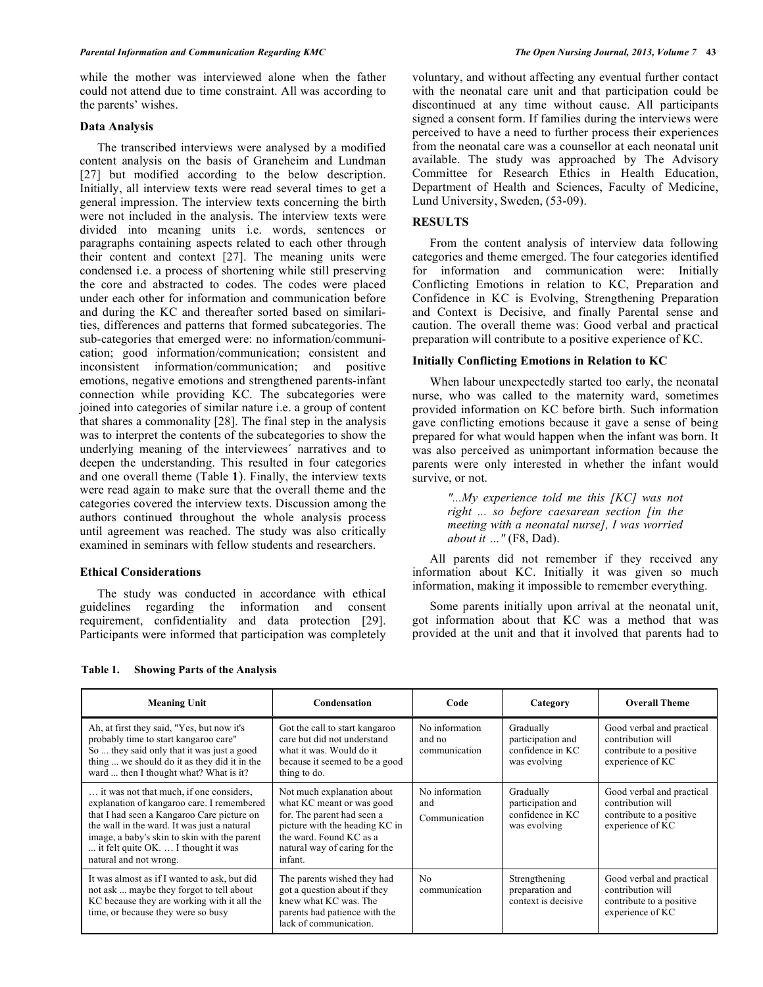while the mother was interviewed alone when the father could not attend due to time constraint. All was according to the parents' wishes.

#### **Data Analysis**

 The transcribed interviews were analysed by a modified content analysis on the basis of Graneheim and Lundman [27] but modified according to the below description. Initially, all interview texts were read several times to get a general impression. The interview texts concerning the birth were not included in the analysis. The interview texts were divided into meaning units i.e. words, sentences or paragraphs containing aspects related to each other through their content and context [27]. The meaning units were condensed i.e. a process of shortening while still preserving the core and abstracted to codes. The codes were placed under each other for information and communication before and during the KC and thereafter sorted based on similarities, differences and patterns that formed subcategories. The sub-categories that emerged were: no information/communication; good information/communication; consistent and inconsistent information/communication; and positive emotions, negative emotions and strengthened parents-infant connection while providing KC. The subcategories were joined into categories of similar nature i.e. a group of content that shares a commonality [28]. The final step in the analysis was to interpret the contents of the subcategories to show the underlying meaning of the interviewees´ narratives and to deepen the understanding. This resulted in four categories and one overall theme (Table **1**). Finally, the interview texts were read again to make sure that the overall theme and the categories covered the interview texts. Discussion among the authors continued throughout the whole analysis process until agreement was reached. The study was also critically examined in seminars with fellow students and researchers.

#### **Ethical Considerations**

 The study was conducted in accordance with ethical guidelines regarding the information and consent requirement, confidentiality and data protection [29]. Participants were informed that participation was completely voluntary, and without affecting any eventual further contact with the neonatal care unit and that participation could be discontinued at any time without cause. All participants signed a consent form. If families during the interviews were perceived to have a need to further process their experiences from the neonatal care was a counsellor at each neonatal unit available. The study was approached by The Advisory Committee for Research Ethics in Health Education, Department of Health and Sciences, Faculty of Medicine, Lund University, Sweden, (53-09).

#### **RESULTS**

 From the content analysis of interview data following categories and theme emerged. The four categories identified for information and communication were: Initially Conflicting Emotions in relation to KC, Preparation and Confidence in KC is Evolving, Strengthening Preparation and Context is Decisive, and finally Parental sense and caution. The overall theme was: Good verbal and practical preparation will contribute to a positive experience of KC.

#### **Initially Conflicting Emotions in Relation to KC**

 When labour unexpectedly started too early, the neonatal nurse, who was called to the maternity ward, sometimes provided information on KC before birth. Such information gave conflicting emotions because it gave a sense of being prepared for what would happen when the infant was born. It was also perceived as unimportant information because the parents were only interested in whether the infant would survive, or not.

> *"...My experience told me this [KC] was not right ... so before caesarean section [in the meeting with a neonatal nurse], I was worried about it …"* (F8, Dad).

 All parents did not remember if they received any information about KC. Initially it was given so much information, making it impossible to remember everything.

 Some parents initially upon arrival at the neonatal unit, got information about that KC was a method that was provided at the unit and that it involved that parents had to

| <b>Meaning Unit</b>                                                                                                                                                                                                                                                                                 | Condensation                                                                                                                                                                                   | Code                                      | Category                                                           | <b>Overall Theme</b>                                                                           |
|-----------------------------------------------------------------------------------------------------------------------------------------------------------------------------------------------------------------------------------------------------------------------------------------------------|------------------------------------------------------------------------------------------------------------------------------------------------------------------------------------------------|-------------------------------------------|--------------------------------------------------------------------|------------------------------------------------------------------------------------------------|
| Ah, at first they said, "Yes, but now it's<br>probably time to start kangaroo care"<br>So  they said only that it was just a good<br>thing  we should do it as they did it in the<br>ward  then I thought what? What is it?                                                                         | Got the call to start kangaroo<br>care but did not understand<br>what it was. Would do it<br>because it seemed to be a good<br>thing to do.                                                    | No information<br>and no<br>communication | Gradually<br>participation and<br>confidence in KC<br>was evolving | Good verbal and practical<br>contribution will<br>contribute to a positive<br>experience of KC |
| it was not that much, if one considers,<br>explanation of kangaroo care. I remembered<br>that I had seen a Kangaroo Care picture on<br>the wall in the ward. It was just a natural<br>image, a baby's skin to skin with the parent<br>it felt quite OK.  I thought it was<br>natural and not wrong. | Not much explanation about<br>what KC meant or was good<br>for. The parent had seen a<br>picture with the heading KC in<br>the ward. Found KC as a<br>natural way of caring for the<br>infant. | No information<br>and<br>Communication    | Gradually<br>participation and<br>confidence in KC<br>was evolving | Good verbal and practical<br>contribution will<br>contribute to a positive<br>experience of KC |
| It was almost as if I wanted to ask, but did<br>not ask  maybe they forgot to tell about<br>KC because they are working with it all the<br>time, or because they were so busy                                                                                                                       | The parents wished they had<br>got a question about if they<br>knew what KC was. The<br>parents had patience with the<br>lack of communication.                                                | No.<br>communication                      | Strengthening<br>preparation and<br>context is decisive.           | Good verbal and practical<br>contribution will<br>contribute to a positive<br>experience of KC |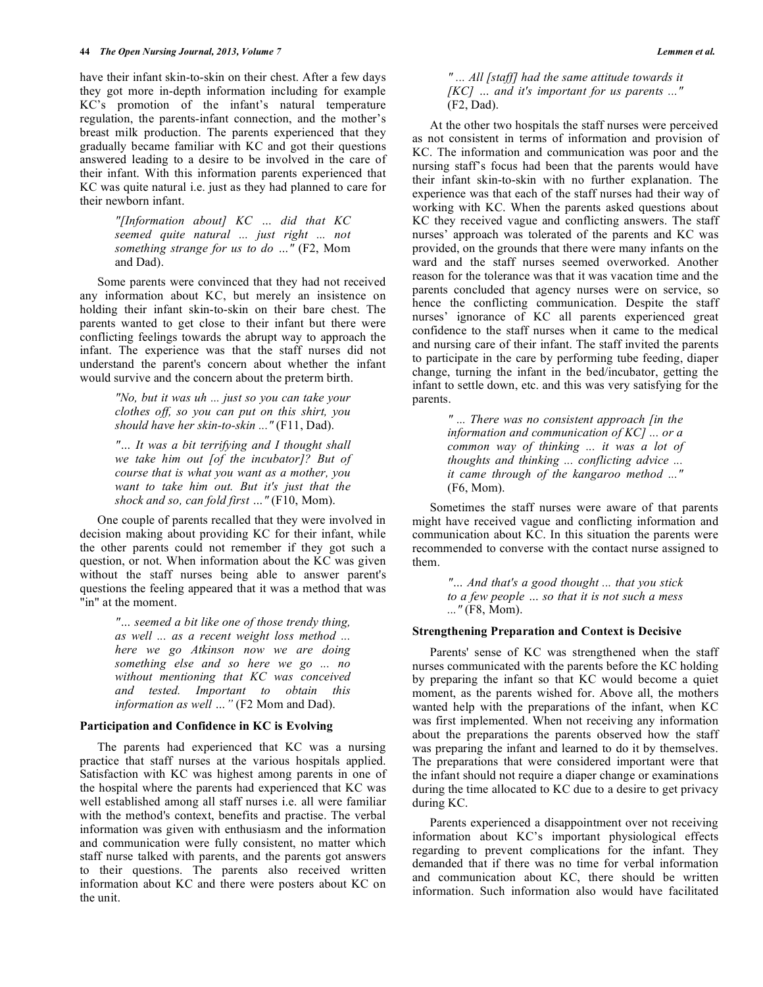have their infant skin-to-skin on their chest. After a few days they got more in-depth information including for example KC's promotion of the infant's natural temperature regulation, the parents-infant connection, and the mother's breast milk production. The parents experienced that they gradually became familiar with KC and got their questions answered leading to a desire to be involved in the care of their infant. With this information parents experienced that KC was quite natural i.e. just as they had planned to care for their newborn infant.

> *"[Information about] KC … did that KC seemed quite natural ... just right ... not something strange for us to do …"* (F2, Mom and Dad).

 Some parents were convinced that they had not received any information about KC, but merely an insistence on holding their infant skin-to-skin on their bare chest. The parents wanted to get close to their infant but there were conflicting feelings towards the abrupt way to approach the infant. The experience was that the staff nurses did not understand the parent's concern about whether the infant would survive and the concern about the preterm birth.

> *"No, but it was uh ... just so you can take your clothes off, so you can put on this shirt, you should have her skin-to-skin ..."* (F11, Dad).

> *"… It was a bit terrifying and I thought shall we take him out [of the incubator]? But of course that is what you want as a mother, you want to take him out. But it's just that the shock and so, can fold first …"* (F10, Mom).

 One couple of parents recalled that they were involved in decision making about providing KC for their infant, while the other parents could not remember if they got such a question, or not. When information about the KC was given without the staff nurses being able to answer parent's questions the feeling appeared that it was a method that was "in" at the moment.

> *"… seemed a bit like one of those trendy thing, as well ... as a recent weight loss method ... here we go Atkinson now we are doing something else and so here we go ... no without mentioning that KC was conceived and tested. Important to obtain this information as well …"* (F2 Mom and Dad).

#### **Participation and Confidence in KC is Evolving**

 The parents had experienced that KC was a nursing practice that staff nurses at the various hospitals applied. Satisfaction with KC was highest among parents in one of the hospital where the parents had experienced that KC was well established among all staff nurses i.e. all were familiar with the method's context, benefits and practise. The verbal information was given with enthusiasm and the information and communication were fully consistent, no matter which staff nurse talked with parents, and the parents got answers to their questions. The parents also received written information about KC and there were posters about KC on the unit.

*" ... All [staff] had the same attitude towards it [KC] … and it's important for us parents ..."*  (F2, Dad).

 At the other two hospitals the staff nurses were perceived as not consistent in terms of information and provision of KC. The information and communication was poor and the nursing staff's focus had been that the parents would have their infant skin-to-skin with no further explanation. The experience was that each of the staff nurses had their way of working with KC. When the parents asked questions about KC they received vague and conflicting answers. The staff nurses' approach was tolerated of the parents and KC was provided, on the grounds that there were many infants on the ward and the staff nurses seemed overworked. Another reason for the tolerance was that it was vacation time and the parents concluded that agency nurses were on service, so hence the conflicting communication. Despite the staff nurses' ignorance of KC all parents experienced great confidence to the staff nurses when it came to the medical and nursing care of their infant. The staff invited the parents to participate in the care by performing tube feeding, diaper change, turning the infant in the bed/incubator, getting the infant to settle down, etc. and this was very satisfying for the parents.

> *" ... There was no consistent approach [in the information and communication of KC] ... or a common way of thinking ... it was a lot of thoughts and thinking ... conflicting advice ... it came through of the kangaroo method ..."*  (F6, Mom).

 Sometimes the staff nurses were aware of that parents might have received vague and conflicting information and communication about KC. In this situation the parents were recommended to converse with the contact nurse assigned to them.

> *"… And that's a good thought ... that you stick to a few people … so that it is not such a mess ..."* (F8, Mom).

### **Strengthening Preparation and Context is Decisive**

 Parents' sense of KC was strengthened when the staff nurses communicated with the parents before the KC holding by preparing the infant so that KC would become a quiet moment, as the parents wished for. Above all, the mothers wanted help with the preparations of the infant, when KC was first implemented. When not receiving any information about the preparations the parents observed how the staff was preparing the infant and learned to do it by themselves. The preparations that were considered important were that the infant should not require a diaper change or examinations during the time allocated to KC due to a desire to get privacy during KC.

 Parents experienced a disappointment over not receiving information about KC's important physiological effects regarding to prevent complications for the infant. They demanded that if there was no time for verbal information and communication about KC, there should be written information. Such information also would have facilitated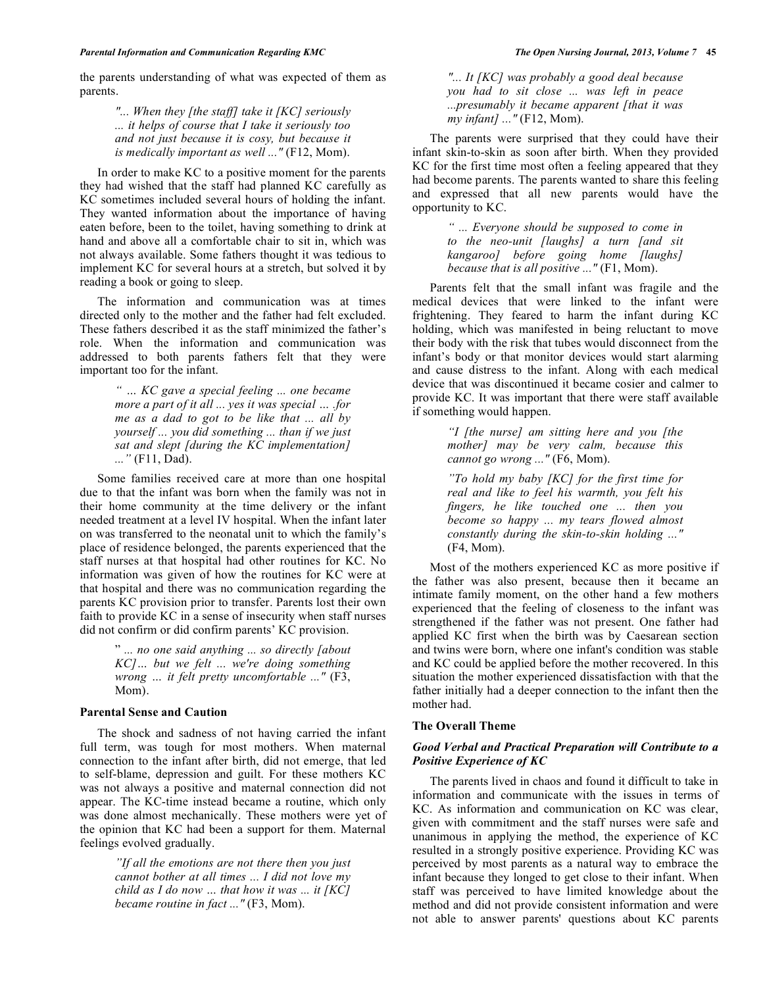the parents understanding of what was expected of them as parents.

> *"... When they [the staff] take it [KC] seriously ... it helps of course that I take it seriously too and not just because it is cosy, but because it is medically important as well ..."* (F12, Mom).

 In order to make KC to a positive moment for the parents they had wished that the staff had planned KC carefully as KC sometimes included several hours of holding the infant. They wanted information about the importance of having eaten before, been to the toilet, having something to drink at hand and above all a comfortable chair to sit in, which was not always available. Some fathers thought it was tedious to implement KC for several hours at a stretch, but solved it by reading a book or going to sleep.

 The information and communication was at times directed only to the mother and the father had felt excluded. These fathers described it as the staff minimized the father's role. When the information and communication was addressed to both parents fathers felt that they were important too for the infant.

> *" … KC gave a special feeling ... one became more a part of it all ... yes it was special … .for me as a dad to got to be like that ... all by yourself ... you did something ... than if we just sat and slept [during the KC implementation] ..."* (F11, Dad).

 Some families received care at more than one hospital due to that the infant was born when the family was not in their home community at the time delivery or the infant needed treatment at a level IV hospital. When the infant later on was transferred to the neonatal unit to which the family's place of residence belonged, the parents experienced that the staff nurses at that hospital had other routines for KC. No information was given of how the routines for KC were at that hospital and there was no communication regarding the parents KC provision prior to transfer. Parents lost their own faith to provide KC in a sense of insecurity when staff nurses did not confirm or did confirm parents' KC provision.

> " *... no one said anything ... so directly [about KC]… but we felt ... we're doing something wrong … it felt pretty uncomfortable ..."* (F3, Mom).

# **Parental Sense and Caution**

 The shock and sadness of not having carried the infant full term, was tough for most mothers. When maternal connection to the infant after birth, did not emerge, that led to self-blame, depression and guilt. For these mothers KC was not always a positive and maternal connection did not appear. The KC-time instead became a routine, which only was done almost mechanically. These mothers were yet of the opinion that KC had been a support for them. Maternal feelings evolved gradually.

> *"If all the emotions are not there then you just cannot bother at all times ... I did not love my child as I do now … that how it was ... it [KC] became routine in fact ..."* (F3, Mom).

*"... It [KC] was probably a good deal because you had to sit close ... was left in peace ...presumably it became apparent [that it was my infant] ..."* (F12, Mom).

 The parents were surprised that they could have their infant skin-to-skin as soon after birth. When they provided KC for the first time most often a feeling appeared that they had become parents. The parents wanted to share this feeling and expressed that all new parents would have the opportunity to KC.

> *" ... Everyone should be supposed to come in to the neo-unit [laughs] a turn [and sit kangaroo] before going home [laughs] because that is all positive ..."* (F1, Mom).

 Parents felt that the small infant was fragile and the medical devices that were linked to the infant were frightening. They feared to harm the infant during KC holding, which was manifested in being reluctant to move their body with the risk that tubes would disconnect from the infant's body or that monitor devices would start alarming and cause distress to the infant. Along with each medical device that was discontinued it became cosier and calmer to provide KC. It was important that there were staff available if something would happen.

> *"I [the nurse] am sitting here and you [the mother] may be very calm, because this cannot go wrong ..."* (F6, Mom).

> *"To hold my baby [KC] for the first time for real and like to feel his warmth, you felt his fingers, he like touched one ... then you become so happy ... my tears flowed almost constantly during the skin-to-skin holding ..."*  (F4, Mom).

 Most of the mothers experienced KC as more positive if the father was also present, because then it became an intimate family moment, on the other hand a few mothers experienced that the feeling of closeness to the infant was strengthened if the father was not present. One father had applied KC first when the birth was by Caesarean section and twins were born, where one infant's condition was stable and KC could be applied before the mother recovered. In this situation the mother experienced dissatisfaction with that the father initially had a deeper connection to the infant then the mother had.

### **The Overall Theme**

## *Good Verbal and Practical Preparation will Contribute to a Positive Experience of KC*

 The parents lived in chaos and found it difficult to take in information and communicate with the issues in terms of KC. As information and communication on KC was clear, given with commitment and the staff nurses were safe and unanimous in applying the method, the experience of KC resulted in a strongly positive experience. Providing KC was perceived by most parents as a natural way to embrace the infant because they longed to get close to their infant. When staff was perceived to have limited knowledge about the method and did not provide consistent information and were not able to answer parents' questions about KC parents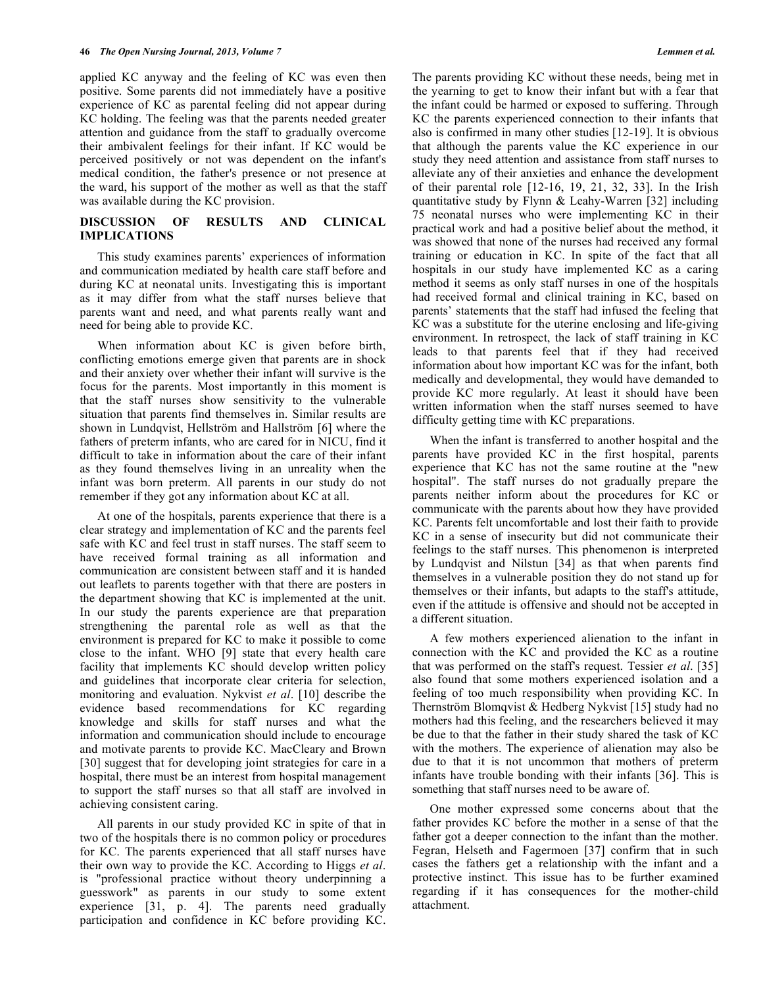applied KC anyway and the feeling of KC was even then positive. Some parents did not immediately have a positive experience of KC as parental feeling did not appear during KC holding. The feeling was that the parents needed greater attention and guidance from the staff to gradually overcome their ambivalent feelings for their infant. If KC would be perceived positively or not was dependent on the infant's medical condition, the father's presence or not presence at the ward, his support of the mother as well as that the staff was available during the KC provision.

## **DISCUSSION OF RESULTS AND CLINICAL IMPLICATIONS**

 This study examines parents' experiences of information and communication mediated by health care staff before and during KC at neonatal units. Investigating this is important as it may differ from what the staff nurses believe that parents want and need, and what parents really want and need for being able to provide KC.

 When information about KC is given before birth, conflicting emotions emerge given that parents are in shock and their anxiety over whether their infant will survive is the focus for the parents. Most importantly in this moment is that the staff nurses show sensitivity to the vulnerable situation that parents find themselves in. Similar results are shown in Lundqvist, Hellström and Hallström [6] where the fathers of preterm infants, who are cared for in NICU, find it difficult to take in information about the care of their infant as they found themselves living in an unreality when the infant was born preterm. All parents in our study do not remember if they got any information about KC at all.

 At one of the hospitals, parents experience that there is a clear strategy and implementation of KC and the parents feel safe with KC and feel trust in staff nurses. The staff seem to have received formal training as all information and communication are consistent between staff and it is handed out leaflets to parents together with that there are posters in the department showing that KC is implemented at the unit. In our study the parents experience are that preparation strengthening the parental role as well as that the environment is prepared for KC to make it possible to come close to the infant. WHO [9] state that every health care facility that implements KC should develop written policy and guidelines that incorporate clear criteria for selection, monitoring and evaluation. Nykvist *et al*. [10] describe the evidence based recommendations for KC regarding knowledge and skills for staff nurses and what the information and communication should include to encourage and motivate parents to provide KC. MacCleary and Brown [30] suggest that for developing joint strategies for care in a hospital, there must be an interest from hospital management to support the staff nurses so that all staff are involved in achieving consistent caring.

 All parents in our study provided KC in spite of that in two of the hospitals there is no common policy or procedures for KC. The parents experienced that all staff nurses have their own way to provide the KC. According to Higgs *et al*. is "professional practice without theory underpinning a guesswork" as parents in our study to some extent experience [31, p. 4]. The parents need gradually participation and confidence in KC before providing KC.

The parents providing KC without these needs, being met in the yearning to get to know their infant but with a fear that the infant could be harmed or exposed to suffering. Through KC the parents experienced connection to their infants that also is confirmed in many other studies [12-19]. It is obvious that although the parents value the KC experience in our study they need attention and assistance from staff nurses to alleviate any of their anxieties and enhance the development of their parental role [12-16, 19, 21, 32, 33]. In the Irish quantitative study by Flynn & Leahy-Warren [32] including 75 neonatal nurses who were implementing KC in their practical work and had a positive belief about the method, it was showed that none of the nurses had received any formal training or education in KC. In spite of the fact that all hospitals in our study have implemented KC as a caring method it seems as only staff nurses in one of the hospitals had received formal and clinical training in KC, based on parents' statements that the staff had infused the feeling that KC was a substitute for the uterine enclosing and life-giving environment. In retrospect, the lack of staff training in KC leads to that parents feel that if they had received information about how important KC was for the infant, both medically and developmental, they would have demanded to provide KC more regularly. At least it should have been written information when the staff nurses seemed to have difficulty getting time with KC preparations.

 When the infant is transferred to another hospital and the parents have provided KC in the first hospital, parents experience that KC has not the same routine at the "new hospital". The staff nurses do not gradually prepare the parents neither inform about the procedures for KC or communicate with the parents about how they have provided KC. Parents felt uncomfortable and lost their faith to provide KC in a sense of insecurity but did not communicate their feelings to the staff nurses. This phenomenon is interpreted by Lundqvist and Nilstun [34] as that when parents find themselves in a vulnerable position they do not stand up for themselves or their infants, but adapts to the staff's attitude, even if the attitude is offensive and should not be accepted in a different situation.

 A few mothers experienced alienation to the infant in connection with the KC and provided the KC as a routine that was performed on the staff's request. Tessier *et al*. [35] also found that some mothers experienced isolation and a feeling of too much responsibility when providing KC. In Thernström Blomqvist & Hedberg Nykvist [15] study had no mothers had this feeling, and the researchers believed it may be due to that the father in their study shared the task of KC with the mothers. The experience of alienation may also be due to that it is not uncommon that mothers of preterm infants have trouble bonding with their infants [36]. This is something that staff nurses need to be aware of.

 One mother expressed some concerns about that the father provides KC before the mother in a sense of that the father got a deeper connection to the infant than the mother. Fegran, Helseth and Fagermoen [37] confirm that in such cases the fathers get a relationship with the infant and a protective instinct. This issue has to be further examined regarding if it has consequences for the mother-child attachment.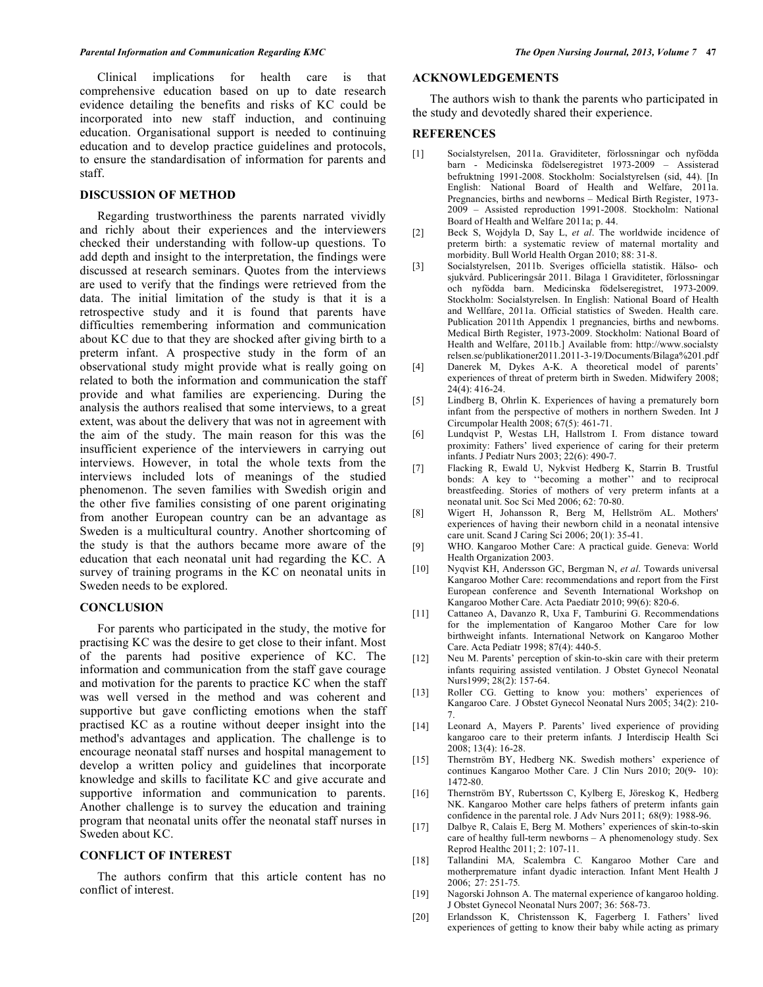Clinical implications for health care is that comprehensive education based on up to date research evidence detailing the benefits and risks of KC could be incorporated into new staff induction, and continuing education. Organisational support is needed to continuing education and to develop practice guidelines and protocols, to ensure the standardisation of information for parents and staff.

#### **DISCUSSION OF METHOD**

 Regarding trustworthiness the parents narrated vividly and richly about their experiences and the interviewers checked their understanding with follow-up questions. To add depth and insight to the interpretation, the findings were discussed at research seminars. Quotes from the interviews are used to verify that the findings were retrieved from the data. The initial limitation of the study is that it is a retrospective study and it is found that parents have difficulties remembering information and communication about KC due to that they are shocked after giving birth to a preterm infant. A prospective study in the form of an observational study might provide what is really going on related to both the information and communication the staff provide and what families are experiencing. During the analysis the authors realised that some interviews, to a great extent, was about the delivery that was not in agreement with the aim of the study. The main reason for this was the insufficient experience of the interviewers in carrying out interviews. However, in total the whole texts from the interviews included lots of meanings of the studied phenomenon. The seven families with Swedish origin and the other five families consisting of one parent originating from another European country can be an advantage as Sweden is a multicultural country. Another shortcoming of the study is that the authors became more aware of the education that each neonatal unit had regarding the KC. A survey of training programs in the KC on neonatal units in Sweden needs to be explored.

#### **CONCLUSION**

 For parents who participated in the study, the motive for practising KC was the desire to get close to their infant. Most of the parents had positive experience of KC. The information and communication from the staff gave courage and motivation for the parents to practice KC when the staff was well versed in the method and was coherent and supportive but gave conflicting emotions when the staff practised KC as a routine without deeper insight into the method's advantages and application. The challenge is to encourage neonatal staff nurses and hospital management to develop a written policy and guidelines that incorporate knowledge and skills to facilitate KC and give accurate and supportive information and communication to parents. Another challenge is to survey the education and training program that neonatal units offer the neonatal staff nurses in Sweden about KC.

## **CONFLICT OF INTEREST**

 The authors confirm that this article content has no conflict of interest.

## **ACKNOWLEDGEMENTS**

 The authors wish to thank the parents who participated in the study and devotedly shared their experience.

#### **REFERENCES**

- [1] Socialstyrelsen, 2011a. Graviditeter, förlossningar och nyfödda barn - Medicinska födelseregistret 1973-2009 – Assisterad befruktning 1991-2008. Stockholm: Socialstyrelsen (sid, 44). [In English: National Board of Health and Welfare, 2011a. Pregnancies, births and newborns – Medical Birth Register, 1973- 2009 – Assisted reproduction 1991-2008. Stockholm: National Board of Health and Welfare 2011a; p. 44.
- [2] Beck S, Wojdyla D, Say L, *et al*. The worldwide incidence of preterm birth: a systematic review of maternal mortality and morbidity. Bull World Health Organ 2010; 88: 31-8.
- [3] Socialstyrelsen, 2011b. Sveriges officiella statistik. Hälso- och sjukvård. Publiceringsår 2011. Bilaga 1 Graviditeter, förlossningar och nyfödda barn. Medicinska födelseregistret, 1973-2009. Stockholm: Socialstyrelsen. In English: National Board of Health and Wellfare, 2011a. Official statistics of Sweden. Health care. Publication 2011th Appendix 1 pregnancies, births and newborns. Medical Birth Register, 1973-2009. Stockholm: National Board of Health and Welfare, 2011b.] Available from: http://www.socialsty relsen.se/publikationer2011.2011-3-19/Documents/Bilaga%201.pdf
- [4] Danerek M, Dykes A-K. A theoretical model of parents' experiences of threat of preterm birth in Sweden. Midwifery 2008;  $24(4)$ : 416-24.
- [5] Lindberg B, Ohrlin K. Experiences of having a prematurely born infant from the perspective of mothers in northern Sweden. Int J Circumpolar Health 2008; 67(5): 461-71.
- [6] Lundqvist P, Westas LH, Hallstrom I. From distance toward proximity: Fathers' lived experience of caring for their preterm infants. J Pediatr Nurs 2003; 22(6): 490-7.
- [7] Flacking R, Ewald U, Nykvist Hedberg K, Starrin B. Trustful bonds: A key to ''becoming a mother'' and to reciprocal breastfeeding. Stories of mothers of very preterm infants at a neonatal unit. Soc Sci Med 2006; 62: 70-80.
- [8] Wigert H, Johansson R, Berg M, Hellström AL. Mothers' experiences of having their newborn child in a neonatal intensive care unit. Scand J Caring Sci 2006; 20(1): 35-41.
- [9] WHO. Kangaroo Mother Care: A practical guide. Geneva: World Health Organization 2003.
- [10] Nyqvist KH, Andersson GC, Bergman N, *et al*. Towards universal Kangaroo Mother Care: recommendations and report from the First European conference and Seventh International Workshop on Kangaroo Mother Care. Acta Paediatr 2010; 99(6): 820-6.
- [11] Cattaneo A, Davanzo R, Uxa F, Tamburini G. Recommendations for the implementation of Kangaroo Mother Care for low birthweight infants. International Network on Kangaroo Mother Care. Acta Pediatr 1998; 87(4): 440-5.
- [12] Neu M. Parents' perception of skin-to-skin care with their preterm infants requiring assisted ventilation. J Obstet Gynecol Neonatal Nurs1999; 28(2): 157-64.
- [13] Roller CG. Getting to know you: mothers' experiences of Kangaroo Care. J Obstet Gynecol Neonatal Nurs 2005; 34(2): 210- 7.
- [14] Leonard A, Mayers P. Parents' lived experience of providing kangaroo care to their preterm infants*.* J Interdiscip Health Sci 2008; 13(4): 16-28.
- [15] Thernström BY, Hedberg NK. Swedish mothers' experience of continues Kangaroo Mother Care. J Clin Nurs 2010; 20(9- 10): 1472-80.
- [16] Thernström BY, Rubertsson C, Kylberg E, Jöreskog K, Hedberg NK. Kangaroo Mother care helps fathers of preterm infants gain confidence in the parental role. J Adv Nurs 2011; 68(9): 1988-96.
- [17] Dalbye R, Calais E, Berg M. Mothers' experiences of skin-to-skin care of healthy full-term newborns – A phenomenology study. Sex Reprod Healthc 2011; 2: 107-11.
- [18] Tallandini MA*,* Scalembra C*.* Kangaroo Mother Care and motherpremature infant dyadic interaction*.* Infant Ment Health J 2006; 27: 251*-*75*.*
- [19] Nagorski Johnson A. The maternal experience of kangaroo holding. J Obstet Gynecol Neonatal Nurs 2007; 36: 568-73.
- [20] Erlandsson K*,* Christensson K*,* Fagerberg I. Fathers' lived experiences of getting to know their baby while acting as primary